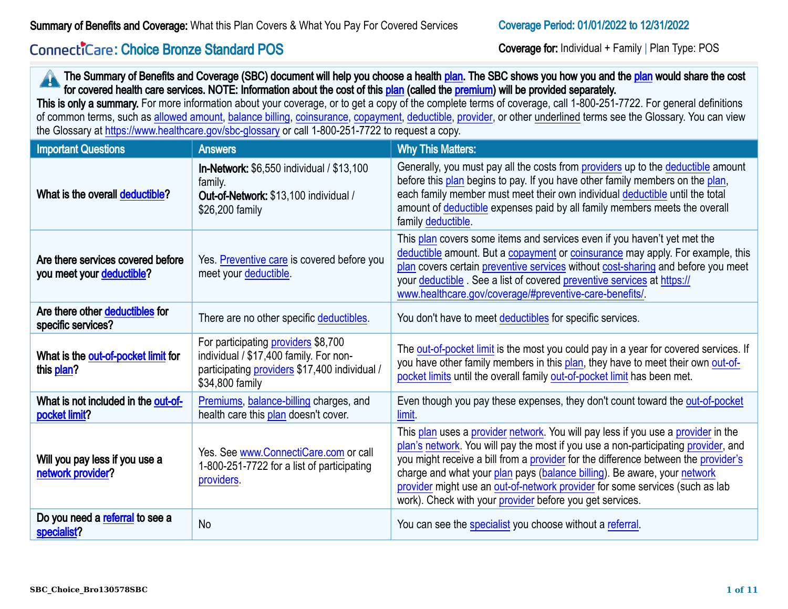# Connecticare: Choice Bronze Standard POS

Coverage for: Individual + Family | Plan Type: POS

|                                                                | the Glossary at https://www.healthcare.gov/sbc-glossary or call 1-800-251-7722 to request a copy.                                                 | The Summary of Benefits and Coverage (SBC) document will help you choose a health plan. The SBC shows you how you and the plan would share the cost<br>for covered health care services. NOTE: Information about the cost of this plan (called the premium) will be provided separately.<br>This is only a summary. For more information about your coverage, or to get a copy of the complete terms of coverage, call 1-800-251-7722. For general definitions<br>of common terms, such as allowed amount, balance billing, coinsurance, copayment, deductible, provider, or other underlined terms see the Glossary. You can view |
|----------------------------------------------------------------|---------------------------------------------------------------------------------------------------------------------------------------------------|------------------------------------------------------------------------------------------------------------------------------------------------------------------------------------------------------------------------------------------------------------------------------------------------------------------------------------------------------------------------------------------------------------------------------------------------------------------------------------------------------------------------------------------------------------------------------------------------------------------------------------|
| <b>Important Questions</b>                                     | <b>Answers</b>                                                                                                                                    | <b>Why This Matters:</b>                                                                                                                                                                                                                                                                                                                                                                                                                                                                                                                                                                                                           |
| What is the overall deductible?                                | <b>In-Network:</b> \$6,550 individual / \$13,100<br>family.<br>Out-of-Network: \$13,100 individual /<br>\$26,200 family                           | Generally, you must pay all the costs from providers up to the deductible amount<br>before this plan begins to pay. If you have other family members on the plan,<br>each family member must meet their own individual deductible until the total<br>amount of deductible expenses paid by all family members meets the overall<br>family deductible.                                                                                                                                                                                                                                                                              |
| Are there services covered before<br>you meet your deductible? | Yes. Preventive care is covered before you<br>meet your deductible.                                                                               | This plan covers some items and services even if you haven't yet met the<br>deductible amount. But a copayment or coinsurance may apply. For example, this<br>plan covers certain preventive services without cost-sharing and before you meet<br>your deductible. See a list of covered preventive services at https://<br>www.healthcare.gov/coverage/#preventive-care-benefits/                                                                                                                                                                                                                                                 |
| Are there other deductibles for<br>specific services?          | There are no other specific deductibles.                                                                                                          | You don't have to meet deductibles for specific services.                                                                                                                                                                                                                                                                                                                                                                                                                                                                                                                                                                          |
| What is the out-of-pocket limit for<br>this plan?              | For participating providers \$8,700<br>individual / \$17,400 family. For non-<br>participating providers \$17,400 individual /<br>\$34,800 family | The out-of-pocket limit is the most you could pay in a year for covered services. If<br>you have other family members in this plan, they have to meet their own out-of-<br>pocket limits until the overall family out-of-pocket limit has been met.                                                                                                                                                                                                                                                                                                                                                                                |
| What is not included in the out-of-<br>pocket limit?           | Premiums, balance-billing charges, and<br>health care this plan doesn't cover.                                                                    | Even though you pay these expenses, they don't count toward the out-of-pocket<br>limit.                                                                                                                                                                                                                                                                                                                                                                                                                                                                                                                                            |
| Will you pay less if you use a<br>network provider?            | Yes. See www.ConnectiCare.com or call<br>1-800-251-7722 for a list of participating<br>providers.                                                 | This plan uses a provider network. You will pay less if you use a provider in the<br>plan's network. You will pay the most if you use a non-participating provider, and<br>you might receive a bill from a provider for the difference between the provider's<br>charge and what your plan pays (balance billing). Be aware, your network<br>provider might use an out-of-network provider for some services (such as lab<br>work). Check with your provider before you get services.                                                                                                                                              |
| Do you need a referral to see a<br>specialist?                 | <b>No</b>                                                                                                                                         | You can see the specialist you choose without a referral.                                                                                                                                                                                                                                                                                                                                                                                                                                                                                                                                                                          |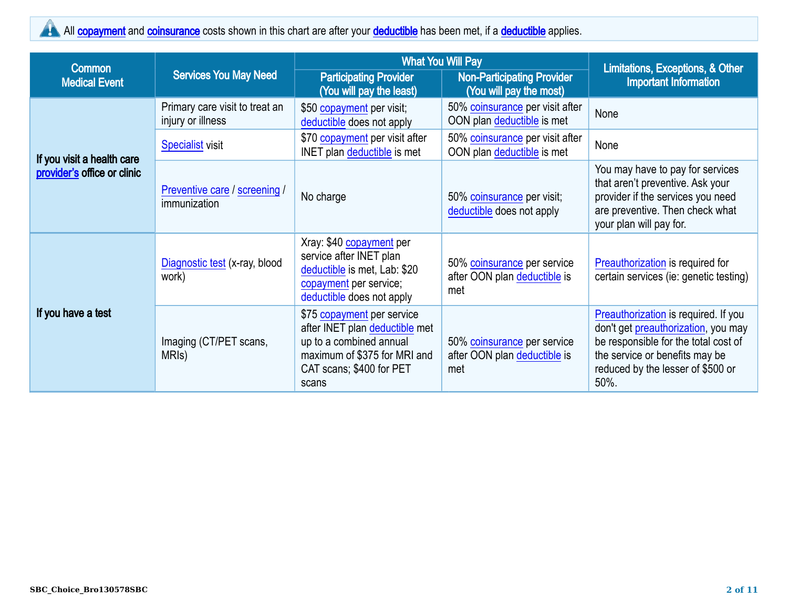## All [copayment](https://www.healthcare.gov/sbc-glossary/#copayment) and [coinsurance](https://www.healthcare.gov/sbc-glossary/#coinsurance) costs shown in this chart are after your [deductible](https://www.healthcare.gov/sbc-glossary/#deductible) has been met, if a deductible applies.

| <b>Common</b>                                             |                                                     | <b>What You Will Pay</b>                                                                                                                                     |                                                                    | Limitations, Exceptions, & Other                                                                                                                                                                   |  |
|-----------------------------------------------------------|-----------------------------------------------------|--------------------------------------------------------------------------------------------------------------------------------------------------------------|--------------------------------------------------------------------|----------------------------------------------------------------------------------------------------------------------------------------------------------------------------------------------------|--|
| <b>Medical Event</b>                                      | <b>Services You May Need</b>                        | <b>Participating Provider</b><br>(You will pay the least)                                                                                                    | <b>Non-Participating Provider</b><br>(You will pay the most)       | <b>Important Information</b>                                                                                                                                                                       |  |
|                                                           | Primary care visit to treat an<br>injury or illness | \$50 copayment per visit;<br>deductible does not apply                                                                                                       | 50% coinsurance per visit after<br>OON plan deductible is met      | None                                                                                                                                                                                               |  |
|                                                           | <b>Specialist visit</b>                             | \$70 copayment per visit after<br><b>INET</b> plan deductible is met                                                                                         | 50% coinsurance per visit after<br>OON plan deductible is met      | None                                                                                                                                                                                               |  |
| If you visit a health care<br>provider's office or clinic | Preventive care / screening /<br>immunization       | No charge                                                                                                                                                    | 50% coinsurance per visit;<br>deductible does not apply            | You may have to pay for services<br>that aren't preventive. Ask your<br>provider if the services you need<br>are preventive. Then check what<br>your plan will pay for.                            |  |
|                                                           | Diagnostic test (x-ray, blood<br>work)              | Xray: \$40 copayment per<br>service after INET plan<br>deductible is met, Lab: \$20<br>copayment per service;<br>deductible does not apply                   | 50% coinsurance per service<br>after OON plan deductible is<br>met | Preauthorization is required for<br>certain services (ie: genetic testing)                                                                                                                         |  |
| If you have a test                                        | Imaging (CT/PET scans,<br>MRIS)                     | \$75 copayment per service<br>after INET plan deductible met<br>up to a combined annual<br>maximum of \$375 for MRI and<br>CAT scans; \$400 for PET<br>scans | 50% coinsurance per service<br>after OON plan deductible is<br>met | Preauthorization is required. If you<br>don't get preauthorization, you may<br>be responsible for the total cost of<br>the service or benefits may be<br>reduced by the lesser of \$500 or<br>50%. |  |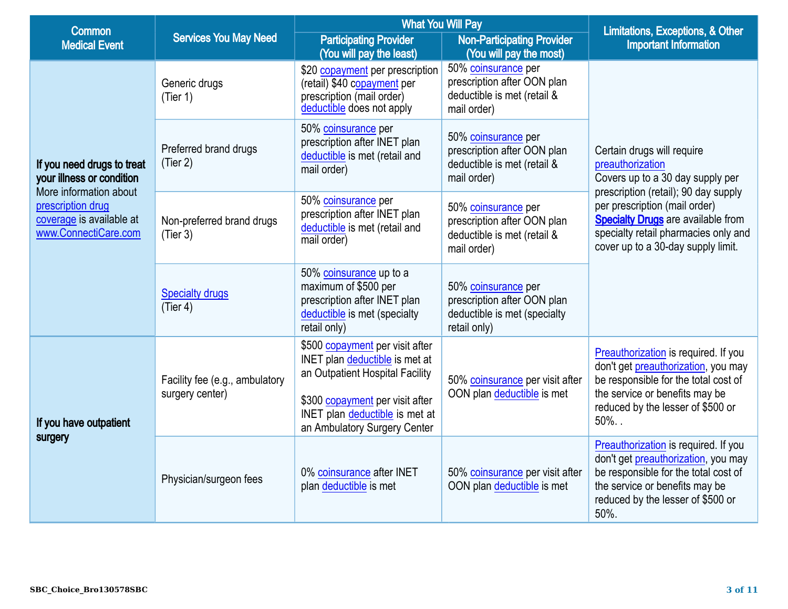| <b>Common</b>                                                                                                                                              |                                                   | <b>What You Will Pay</b>                                                                                                                                                                                  |                                                                                                    | Limitations, Exceptions, & Other                                                                                                                                                                       |
|------------------------------------------------------------------------------------------------------------------------------------------------------------|---------------------------------------------------|-----------------------------------------------------------------------------------------------------------------------------------------------------------------------------------------------------------|----------------------------------------------------------------------------------------------------|--------------------------------------------------------------------------------------------------------------------------------------------------------------------------------------------------------|
| <b>Medical Event</b>                                                                                                                                       | <b>Services You May Need</b>                      | <b>Participating Provider</b><br>(You will pay the least)                                                                                                                                                 | <b>Non-Participating Provider</b><br>(You will pay the most)                                       | <b>Important Information</b>                                                                                                                                                                           |
|                                                                                                                                                            | Generic drugs<br>(Tier 1)                         | \$20 copayment per prescription<br>(retail) \$40 copayment per<br>prescription (mail order)<br>deductible does not apply                                                                                  | 50% coinsurance per<br>prescription after OON plan<br>deductible is met (retail &<br>mail order)   |                                                                                                                                                                                                        |
| If you need drugs to treat<br>your illness or condition<br>More information about<br>prescription drug<br>coverage is available at<br>www.ConnectiCare.com | Preferred brand drugs<br>(Tier 2)                 | 50% coinsurance per<br>prescription after INET plan<br>deductible is met (retail and<br>mail order)                                                                                                       | 50% coinsurance per<br>prescription after OON plan<br>deductible is met (retail &<br>mail order)   | Certain drugs will require<br>preauthorization<br>Covers up to a 30 day supply per<br>prescription (retail); 90 day supply                                                                             |
|                                                                                                                                                            | Non-preferred brand drugs<br>(Tier 3)             | 50% coinsurance per<br>prescription after INET plan<br>deductible is met (retail and<br>mail order)                                                                                                       | 50% coinsurance per<br>prescription after OON plan<br>deductible is met (retail &<br>mail order)   | per prescription (mail order)<br><b>Specialty Drugs are available from</b><br>specialty retail pharmacies only and<br>cover up to a 30-day supply limit.                                               |
|                                                                                                                                                            | <b>Specialty drugs</b><br>(Tier 4)                | 50% coinsurance up to a<br>maximum of \$500 per<br>prescription after INET plan<br>deductible is met (specialty<br>retail only)                                                                           | 50% coinsurance per<br>prescription after OON plan<br>deductible is met (specialty<br>retail only) |                                                                                                                                                                                                        |
| If you have outpatient                                                                                                                                     | Facility fee (e.g., ambulatory<br>surgery center) | \$500 copayment per visit after<br>INET plan deductible is met at<br>an Outpatient Hospital Facility<br>\$300 copayment per visit after<br>INET plan deductible is met at<br>an Ambulatory Surgery Center | 50% coinsurance per visit after<br>OON plan deductible is met                                      | Preauthorization is required. If you<br>don't get preauthorization, you may<br>be responsible for the total cost of<br>the service or benefits may be<br>reduced by the lesser of \$500 or<br>$50\%$ . |
| surgery                                                                                                                                                    | Physician/surgeon fees                            | 0% coinsurance after INET<br>plan deductible is met                                                                                                                                                       | 50% coinsurance per visit after<br>OON plan deductible is met                                      | Preauthorization is required. If you<br>don't get preauthorization, you may<br>be responsible for the total cost of<br>the service or benefits may be<br>reduced by the lesser of \$500 or<br>50%.     |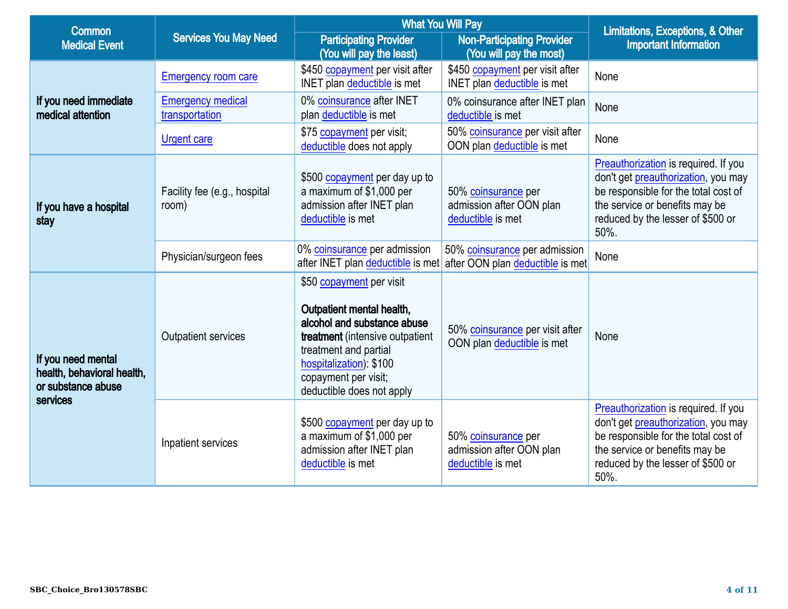| <b>Common</b>                                                                      |                                            | <b>What You Will Pay</b>                                                                                                                                                                                                         |                                                                      | Limitations, Exceptions, & Other                                                                                                                                                                   |
|------------------------------------------------------------------------------------|--------------------------------------------|----------------------------------------------------------------------------------------------------------------------------------------------------------------------------------------------------------------------------------|----------------------------------------------------------------------|----------------------------------------------------------------------------------------------------------------------------------------------------------------------------------------------------|
| <b>Medical Event</b>                                                               | <b>Services You May Need</b>               | <b>Participating Provider</b><br>(You will pay the least)                                                                                                                                                                        | <b>Non-Participating Provider</b><br>(You will pay the most)         | <b>Important Information</b>                                                                                                                                                                       |
|                                                                                    | <b>Emergency room care</b>                 | \$450 copayment per visit after<br>INET plan deductible is met                                                                                                                                                                   | \$450 copayment per visit after<br>INET plan deductible is met       | None                                                                                                                                                                                               |
| If you need immediate<br>medical attention                                         | <b>Emergency medical</b><br>transportation | 0% coinsurance after INET<br>plan deductible is met                                                                                                                                                                              | 0% coinsurance after INET plan<br>deductible is met                  | None                                                                                                                                                                                               |
|                                                                                    | <b>Urgent care</b>                         | \$75 copayment per visit;<br>deductible does not apply                                                                                                                                                                           | 50% coinsurance per visit after<br>OON plan deductible is met        | None                                                                                                                                                                                               |
| If you have a hospital<br>stay                                                     | Facility fee (e.g., hospital<br>room)      | \$500 copayment per day up to<br>a maximum of \$1,000 per<br>admission after INET plan<br>deductible is met                                                                                                                      | 50% coinsurance per<br>admission after OON plan<br>deductible is met | Preauthorization is required. If you<br>don't get preauthorization, you may<br>be responsible for the total cost of<br>the service or benefits may be<br>reduced by the lesser of \$500 or<br>50%. |
|                                                                                    | Physician/surgeon fees                     | 0% coinsurance per admission<br>after INET plan deductible is met                                                                                                                                                                | 50% coinsurance per admission<br>after OON plan deductible is met    | None                                                                                                                                                                                               |
| If you need mental<br>health, behavioral health,<br>or substance abuse<br>services | <b>Outpatient services</b>                 | \$50 copayment per visit<br>Outpatient mental health,<br>alcohol and substance abuse<br>treatment (intensive outpatient<br>treatment and partial<br>hospitalization): \$100<br>copayment per visit;<br>deductible does not apply | 50% coinsurance per visit after<br>OON plan deductible is met        | None                                                                                                                                                                                               |
|                                                                                    | Inpatient services                         | \$500 copayment per day up to<br>a maximum of \$1,000 per<br>admission after INET plan<br>deductible is met                                                                                                                      | 50% coinsurance per<br>admission after OON plan<br>deductible is met | Preauthorization is required. If you<br>don't get preauthorization, you may<br>be responsible for the total cost of<br>the service or benefits may be<br>reduced by the lesser of \$500 or<br>50%. |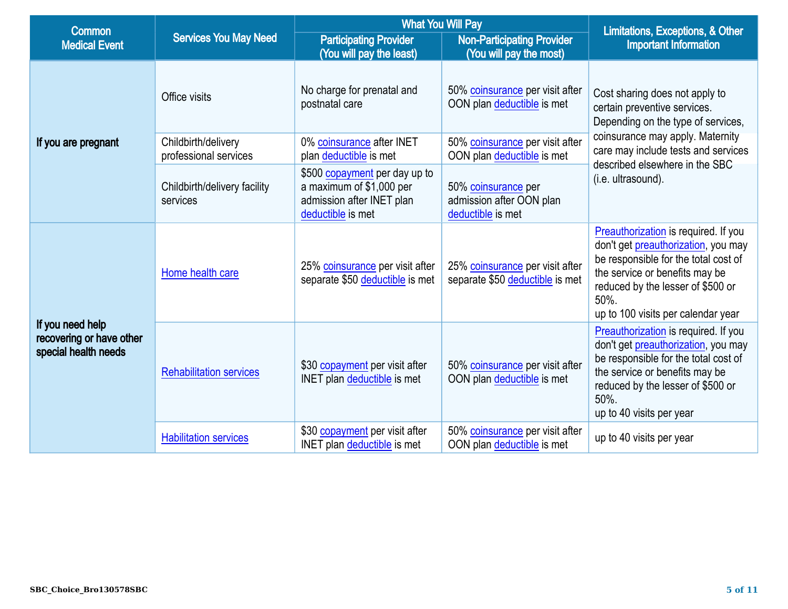| <b>Common</b>                                                        |                                              | <b>What You Will Pay</b>                                                                                                  |                                                                      | Limitations, Exceptions, & Other                                                                                                                                                                                                         |
|----------------------------------------------------------------------|----------------------------------------------|---------------------------------------------------------------------------------------------------------------------------|----------------------------------------------------------------------|------------------------------------------------------------------------------------------------------------------------------------------------------------------------------------------------------------------------------------------|
| <b>Medical Event</b>                                                 | <b>Services You May Need</b>                 | <b>Participating Provider</b><br><b>Non-Participating Provider</b><br>(You will pay the least)<br>(You will pay the most) |                                                                      | <b>Important Information</b>                                                                                                                                                                                                             |
|                                                                      | Office visits                                | No charge for prenatal and<br>postnatal care                                                                              | 50% coinsurance per visit after<br>OON plan deductible is met        | Cost sharing does not apply to<br>certain preventive services.<br>Depending on the type of services,                                                                                                                                     |
| If you are pregnant                                                  | Childbirth/delivery<br>professional services | 0% coinsurance after INET<br>plan deductible is met                                                                       | 50% coinsurance per visit after<br>OON plan deductible is met        | coinsurance may apply. Maternity<br>care may include tests and services                                                                                                                                                                  |
|                                                                      | Childbirth/delivery facility<br>services     | \$500 copayment per day up to<br>a maximum of \$1,000 per<br>admission after INET plan<br>deductible is met               | 50% coinsurance per<br>admission after OON plan<br>deductible is met | described elsewhere in the SBC<br>(i.e. ultrasound).                                                                                                                                                                                     |
|                                                                      | Home health care                             | 25% coinsurance per visit after<br>separate \$50 deductible is met                                                        | 25% coinsurance per visit after<br>separate \$50 deductible is met   | Preauthorization is required. If you<br>don't get preauthorization, you may<br>be responsible for the total cost of<br>the service or benefits may be<br>reduced by the lesser of \$500 or<br>50%.<br>up to 100 visits per calendar year |
| If you need help<br>recovering or have other<br>special health needs | <b>Rehabilitation services</b>               | \$30 copayment per visit after<br><b>INET</b> plan deductible is met                                                      | 50% coinsurance per visit after<br>OON plan deductible is met        | Preauthorization is required. If you<br>don't get preauthorization, you may<br>be responsible for the total cost of<br>the service or benefits may be<br>reduced by the lesser of \$500 or<br>50%.<br>up to 40 visits per year           |
|                                                                      | <b>Habilitation services</b>                 | \$30 copayment per visit after<br><b>INET</b> plan deductible is met                                                      | 50% coinsurance per visit after<br>OON plan deductible is met        | up to 40 visits per year                                                                                                                                                                                                                 |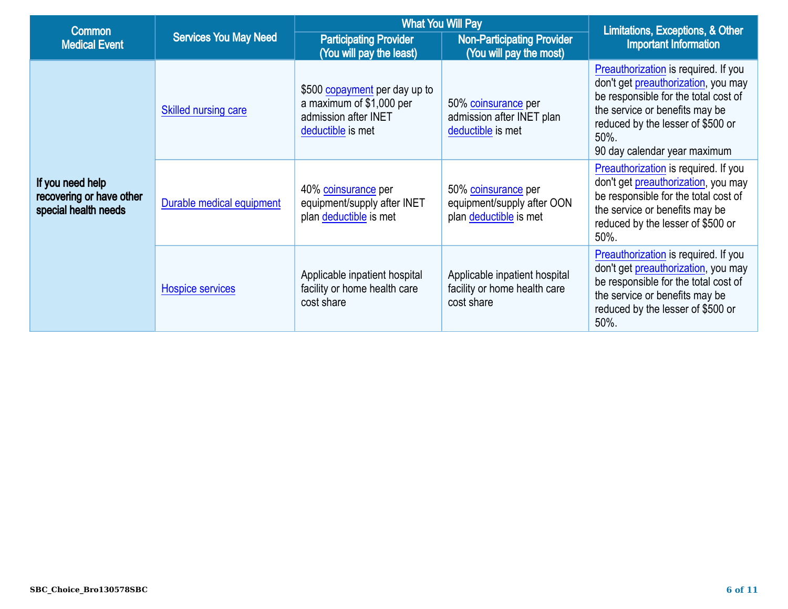| <b>Common</b>                                                                                   |                                                                                           | <b>What You Will Pay</b>                                                                               |                                                                             | Limitations, Exceptions, & Other<br><b>Important Information</b>                                                                                                                                                                   |
|-------------------------------------------------------------------------------------------------|-------------------------------------------------------------------------------------------|--------------------------------------------------------------------------------------------------------|-----------------------------------------------------------------------------|------------------------------------------------------------------------------------------------------------------------------------------------------------------------------------------------------------------------------------|
| <b>Medical Event</b>                                                                            | <b>Services You May Need</b><br><b>Participating Provider</b><br>(You will pay the least) |                                                                                                        | <b>Non-Participating Provider</b><br>(You will pay the most)                |                                                                                                                                                                                                                                    |
| If you need help<br>recovering or have other<br>special health needs<br><b>Hospice services</b> | Skilled nursing care                                                                      | \$500 copayment per day up to<br>a maximum of \$1,000 per<br>admission after INET<br>deductible is met | 50% coinsurance per<br>admission after INET plan<br>deductible is met       | Preauthorization is required. If you<br>don't get preauthorization, you may<br>be responsible for the total cost of<br>the service or benefits may be<br>reduced by the lesser of \$500 or<br>50%.<br>90 day calendar year maximum |
|                                                                                                 | Durable medical equipment                                                                 | 40% coinsurance per<br>equipment/supply after INET<br>plan deductible is met                           | 50% coinsurance per<br>equipment/supply after OON<br>plan deductible is met | Preauthorization is required. If you<br>don't get preauthorization, you may<br>be responsible for the total cost of<br>the service or benefits may be<br>reduced by the lesser of \$500 or<br>50%.                                 |
|                                                                                                 |                                                                                           | Applicable inpatient hospital<br>facility or home health care<br>cost share                            | Applicable inpatient hospital<br>facility or home health care<br>cost share | Preauthorization is required. If you<br>don't get preauthorization, you may<br>be responsible for the total cost of<br>the service or benefits may be<br>reduced by the lesser of \$500 or<br>50%.                                 |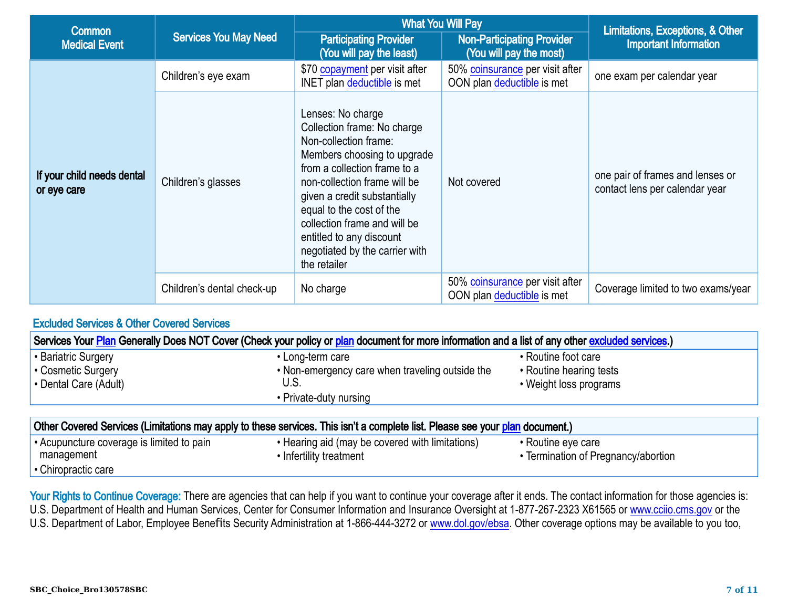| <b>Common</b>                             |                              | <b>What You Will Pay</b>                                                                                                                                                                                                                                                                                                                           |                                                               | Limitations, Exceptions, & Other                                   |
|-------------------------------------------|------------------------------|----------------------------------------------------------------------------------------------------------------------------------------------------------------------------------------------------------------------------------------------------------------------------------------------------------------------------------------------------|---------------------------------------------------------------|--------------------------------------------------------------------|
| <b>Medical Event</b>                      | <b>Services You May Need</b> | <b>Participating Provider</b><br>(You will pay the least)                                                                                                                                                                                                                                                                                          | <b>Non-Participating Provider</b><br>(You will pay the most)  | <b>Important Information</b>                                       |
|                                           | Children's eye exam          | \$70 copayment per visit after<br>INET plan deductible is met                                                                                                                                                                                                                                                                                      | 50% coinsurance per visit after<br>OON plan deductible is met | one exam per calendar year                                         |
| If your child needs dental<br>or eye care | Children's glasses           | Lenses: No charge<br>Collection frame: No charge<br>Non-collection frame:<br>Members choosing to upgrade<br>from a collection frame to a<br>non-collection frame will be<br>given a credit substantially<br>equal to the cost of the<br>collection frame and will be<br>entitled to any discount<br>negotiated by the carrier with<br>the retailer | Not covered                                                   | one pair of frames and lenses or<br>contact lens per calendar year |
|                                           | Children's dental check-up   | No charge                                                                                                                                                                                                                                                                                                                                          | 50% coinsurance per visit after<br>OON plan deductible is met | Coverage limited to two exams/year                                 |

### Excluded Services & Other Covered Services

|                                         | Services Your Plan Generally Does NOT Cover (Check your policy or plan document for more information and a list of any other excluded services.) |                         |
|-----------------------------------------|--------------------------------------------------------------------------------------------------------------------------------------------------|-------------------------|
| <b>Bariatric Surgery</b>                | • Long-term care                                                                                                                                 | • Routine foot care     |
| • Cosmetic Surgery                      | . Non-emergency care when traveling outside the                                                                                                  | • Routine hearing tests |
| $\cdot$ Dental Care (Adult)             | U.S.                                                                                                                                             | • Weight loss programs  |
|                                         | • Private-duty nursing                                                                                                                           |                         |
|                                         |                                                                                                                                                  |                         |
|                                         | Other Covered Services (Limitations may apply to these services. This isn't a complete list. Please see your plan document.)                     |                         |
| Acupuncture coverage is limited to pain | • Hearing aid (may be covered with limitations)                                                                                                  | • Routine eye care      |
| monogomont                              |                                                                                                                                                  |                         |

management • Chiropractic care • Infertility treatment • Termination of Pregnancy/abortion

Your Rights to Continue Coverage: There are agencies that can help if you want to continue your coverage after it ends. The contact information for those agencies is: U.S. Department of Health and Human Services, Center for Consumer Information and Insurance Oversight at 1-877-267-2323 X61565 or [www.cciio.cms.gov](http://www.cciio.cms.gov) or the U.S. Department of Labor, Employee Benefits Security Administration at 1-866-444-3272 or [www.dol.gov/ebsa.](http://www.dol.gov/ebsa) Other coverage options may be available to you too,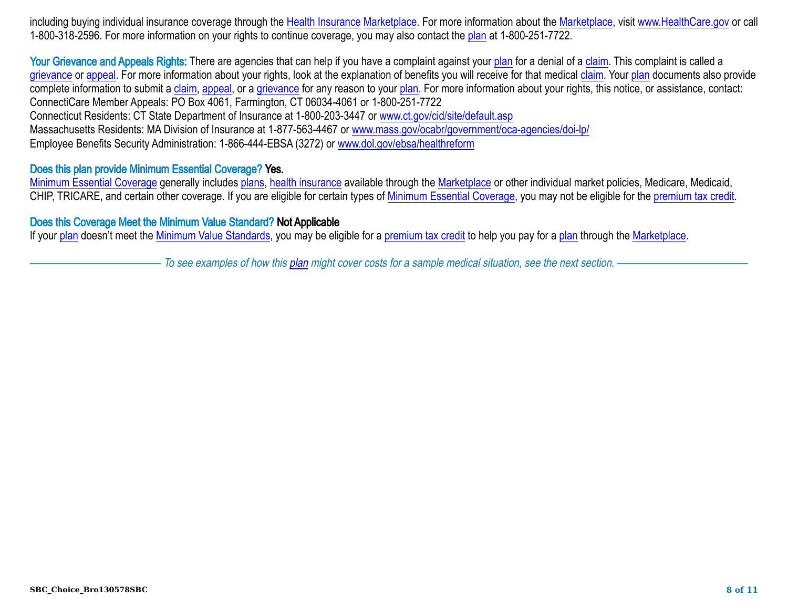including buying individual insurance coverage through the [Health Insurance](https://www.healthcare.gov/sbc-glossary/#health-insurance) [Marketplace.](https://www.healthcare.gov/sbc-glossary#marketplace) For more information about the [Marketplace,](https://www.healthcare.gov/sbc-glossary#marketplace) visit [www.HealthCare.gov](http://www.HealthCare.gov) or call 1-800-318-2596. For more information on your rights to continue coverage, you may also contact the [plan](https://www.healthcare.gov/sbc-glossary#plan) at 1-800-251-7722.

Your Grievance and Appeals Rights: There are agencies that can help if you have a complaint against your [plan](https://www.healthcare.gov/sbc-glossary#plan) for a denial of a [claim.](https://www.healthcare.gov/sbc-glossary#claim) This complaint is called a [grievance](https://www.healthcare.gov/sbc-glossary#grievance) or [appeal.](https://www.healthcare.gov/sbc-glossary#appeal) For more information about your rights, look at the explanation of benefits you will receive for that medical [claim.](https://www.healthcare.gov/sbc-glossary#claim) Your [plan](https://www.healthcare.gov/sbc-glossary#plan) documents also provide complete information to submit a [claim,](https://www.healthcare.gov/sbc-glossary#claim) [appeal,](https://www.healthcare.gov/sbc-glossary#appeal) or a [grievance](https://www.healthcare.gov/sbc-glossary#grievance) for any reason to your [plan.](https://www.healthcare.gov/sbc-glossary#plan) For more information about your rights, this notice, or assistance, contact: ConnectiCare Member Appeals: PO Box 4061, Farmington, CT 06034-4061 or 1-800-251-7722 Connecticut Residents: CT State Department of Insurance at 1-800-203-3447 or [www.ct.gov/cid/site/default.asp](http://www.ct.gov/cid/site/default.asp) Massachusetts Residents: MA Division of Insurance at 1-877-563-4467 or [www.mass.gov/ocabr/government/oca-agencies/doi-lp/](http://www.mass.gov/ocabr/government/oca-agencies/doi-lp/) Employee Benefits Security Administration: 1-866-444-EBSA (3272) or [www.dol.gov/ebsa/healthreform](http://www.dol.gov/ebsa/healthreform)

#### Does this plan provide Minimum Essential Coverage? Yes.

[Minimum Essential Coverage](https://www.healthcare.gov/sbc-glossary#minimum-essential-coverage) generally includes [plans,](https://www.healthcare.gov/sbc-glossary#plan) [health insurance](https://www.healthcare.gov/sbc-glossary/#health-insurance) available through the [Marketplace](https://www.healthcare.gov/sbc-glossary#marketplace) or other individual market policies, Medicare, Medicaid, CHIP, TRICARE, and certain other coverage. If you are eligible for certain types of [Minimum Essential Coverage,](https://www.healthcare.gov/sbc-glossary#minimum-essential-coverage) you may not be eligible for the [premium tax credit](https://www.healthcare.gov/sbc-glossary/#premium-tax-credits).

#### Does this Coverage Meet the Minimum Value Standard? Not Applicable

If your [plan](https://www.healthcare.gov/sbc-glossary#plan) doesn't meet the [Minimum Value Standards,](https://www.healthcare.gov/sbc-glossary/#minimum-value-standard) you may be eligible for a [premium tax credit](https://www.healthcare.gov/sbc-glossary/#premium-tax-credits) to help you pay for a plan through the [Marketplace.](https://www.healthcare.gov/sbc-glossary#marketplace)

To see examples of how this [plan](https://www.healthcare.gov/sbc-glossary#plan) might cover costs for a sample medical situation, see the next section.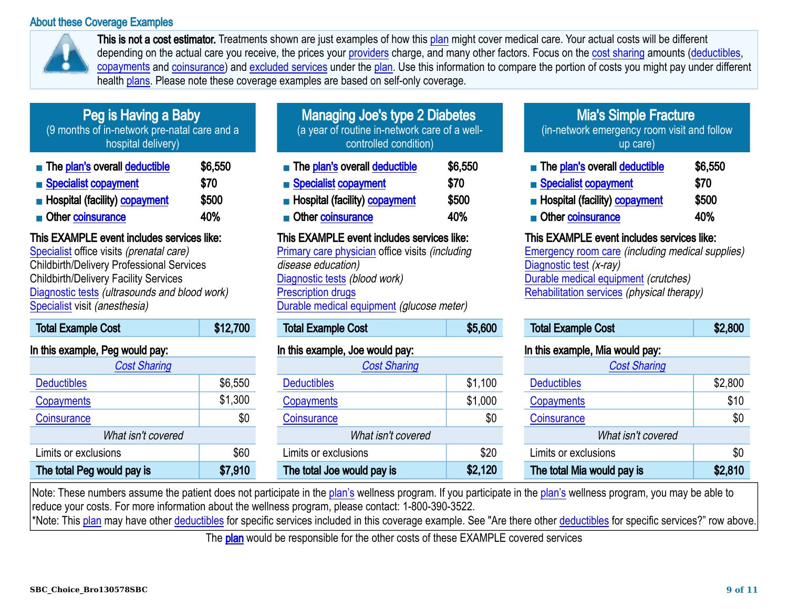#### About these Coverage Examples



This is not a cost estimator. Treatments shown are just examples of how this [plan](https://www.healthcare.gov/sbc-glossary#plan) might cover medical care. Your actual costs will be different depending on the actual care you receive, the prices your [providers](https://www.healthcare.gov/sbc-glossary#provider) charge, and many other factors. Focus on the [cost sharing](https://www.healthcare.gov/sbc-glossary#cost-sharing) amounts ([deductibles,](https://www.healthcare.gov/sbc-glossary#deductibles) [copayments](https://www.healthcare.gov/sbc-glossary#copayments) and [coinsurance\)](https://www.healthcare.gov/sbc-glossary#coinsurance) and [excluded services](https://www.healthcare.gov/sbc-glossary#excluded-services) under the [plan.](https://www.healthcare.gov/sbc-glossary#plan) Use this information to compare the portion of costs you might pay under different health [plans.](https://www.healthcare.gov/sbc-glossary#plan) Please note these coverage examples are based on self-only coverage.

## Peg is Having a Baby

(9 months of in-network pre-natal care and a hospital delivery)

| The plan's overall deductible        | \$6,550 |
|--------------------------------------|---------|
| Specialist copayment                 | \$70    |
| <b>Hospital (facility) copayment</b> | \$500   |
| Other coinsurance                    | 40%     |

## This EXAMPLE event includes services like:

[Specialist](https://www.healthcare.gov/sbc-glossary/#specialist) office visits (prenatal care) Childbirth/Delivery Professional Services Childbirth/Delivery Facility Services [Diagnostic tests](https://www.healthcare.gov/sbc-glossary/#diagnostic-test) (ultrasounds and blood work) [Specialist](https://www.healthcare.gov/sbc-glossary/#specialist) visit (anesthesia)

| <b>Total Example Cost</b>       | \$12,700 |
|---------------------------------|----------|
| In this example. Peg would pay: |          |

| $\cdots$ and diversifying a dig traditional state. |         |
|----------------------------------------------------|---------|
| <b>Cost Sharing</b>                                |         |
| <b>Deductibles</b>                                 | \$6,550 |
| Copayments                                         | \$1,300 |
| Coinsurance                                        | \$0     |
| What isn't covered                                 |         |
| Limits or exclusions                               | \$60    |
| The total Peg would pay is                         | \$7,910 |

| <b>Managing Joe's type 2 Diabetes</b>         |
|-----------------------------------------------|
| (a year of routine in-network care of a well- |
| controlled condition)                         |

| The plan's overall deductible<br>Specialist copayment | \$6,550<br>\$70 |
|-------------------------------------------------------|-----------------|
| Hospital (facility) copayment                         | \$500           |
| Other coinsurance                                     | <b>40%</b>      |

### This EXAMPLE event includes services like:

[Primary care physician](https://www.healthcare.gov/sbc-glossary/#primary-care-physician) office visits (including disease education) [Diagnostic tests](https://www.healthcare.gov/sbc-glossary/#diagnostic-test) (blood work) [Prescription drugs](https://www.healthcare.gov/sbc-glossary/#prescription-drugs) [Durable medical equipment](https://www.healthcare.gov/sbc-glossary/#durable-medical-equipment) (glucose meter)

| <b>Total Example Cost</b> | \$5,600 |
|---------------------------|---------|
|                           |         |

## In this example, Joe would pay:

| <b>Cost Sharing</b>        |         |
|----------------------------|---------|
| <b>Deductibles</b>         | \$1,100 |
| Copayments                 | \$1,000 |
| Coinsurance                | \$0     |
| What isn't covered         |         |
| Limits or exclusions       | \$20    |
| The total Joe would pay is | \$2,120 |

## Mia's Simple Fracture

(in-network emergency room visit and follow up care)

| The plan's overall deductible        | \$6,550 |
|--------------------------------------|---------|
| Specialist copayment                 | \$70    |
| <b>Hospital (facility) copayment</b> | \$500   |
| Other coinsurance                    | 40%     |

### This EXAMPLE event includes services like:

[Emergency room care](https://www.healthcare.gov/sbc-glossary/#emergency-room-care-emergency-services) (including medical supplies) [Diagnostic test](https://www.healthcare.gov/sbc-glossary/#diagnostic-test) (x-ray) [Durable medical equipment](https://www.healthcare.gov/sbc-glossary/#durable-medical-equipment) (crutches) [Rehabilitation services](https://www.healthcare.gov/sbc-glossary/#rehabilitation-services) (physical therapy)

| <b>Total Example Cost</b>       | \$2,800 |
|---------------------------------|---------|
| In this example. Mia would nav: |         |

| \$2,800 |
|---------|
| \$10    |
| \$0     |
|         |
| \$0     |
| \$2,810 |
|         |

Note: These numbers assume the patient does not participate in the [plan's](https://www.healthcare.gov/sbc-glossary#plan) wellness program. If you participate in the [plan's](https://www.healthcare.gov/sbc-glossary#plan) wellness program, you may be able to reduce your costs. For more information about the wellness program, please contact: 1-800-390-3522.

\*Note: This [plan](https://www.healthcare.gov/sbc-glossary#plan) may have other [deductibles](https://www.healthcare.gov/sbc-glossary#deductible) for specific services included in this coverage example. See "Are there other deductibles for specific services?" row above.

The **[plan](https://www.healthcare.gov/sbc-glossary#plan)** would be responsible for the other costs of these EXAMPLE covered services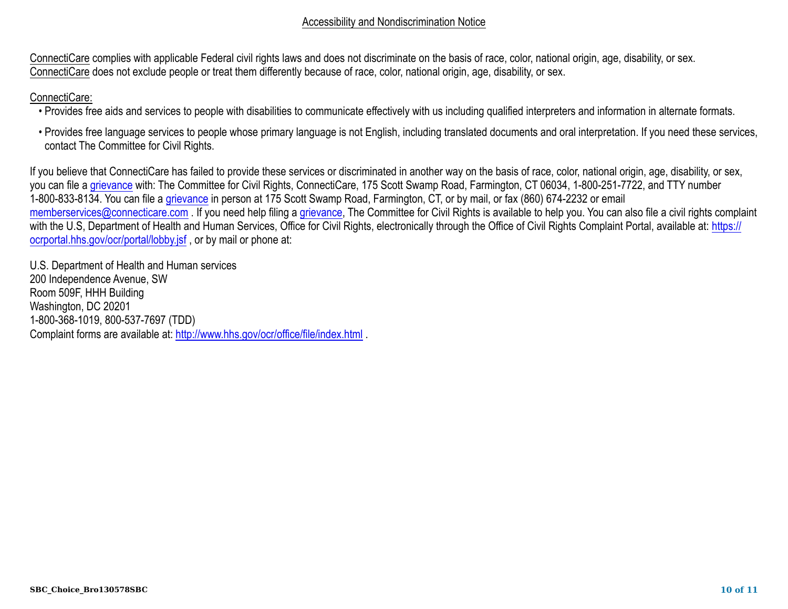#### Accessibility and Nondiscrimination Notice

ConnectiCare complies with applicable Federal civil rights laws and does not discriminate on the basis of race, color, national origin, age, disability, or sex. ConnectiCare does not exclude people or treat them differently because of race, color, national origin, age, disability, or sex.

### ConnectiCare:

- Provides free aids and services to people with disabilities to communicate effectively with us including qualified interpreters and information in alternate formats.
- Provides free language services to people whose primary language is not English, including translated documents and oral interpretation. If you need these services, contact The Committee for Civil Rights.

If you believe that ConnectiCare has failed to provide these services or discriminated in another way on the basis of race, color, national origin, age, disability, or sex, you can file a [grievance](https://www.healthcare.gov/sbc-glossary#grievance) with: The Committee for Civil Rights, ConnectiCare, 175 Scott Swamp Road, Farmington, CT 06034, 1-800-251-7722, and TTY number 1-800-833-8134. You can file a [grievance](https://www.healthcare.gov/sbc-glossary#grievance) in person at 175 Scott Swamp Road, Farmington, CT, or by mail, or fax (860) 674-2232 or email [memberservices@connecticare.com](mailto:memberservices@connecticare.com) . If you need help filing a [grievance](https://www.healthcare.gov/sbc-glossary#grievance), The Committee for Civil Rights is available to help you. You can also file a civil rights complaint with the U.S, Department of Health and Human Services, Office for Civil Rights, electronically through the Office of Civil Rights Complaint Portal, available at: [https://](https://ocrportal.hhs.gov/ocr/portal/lobby.jsf) [ocrportal.hhs.gov/ocr/portal/lobby.jsf](https://ocrportal.hhs.gov/ocr/portal/lobby.jsf), or by mail or phone at:

U.S. Department of Health and Human services 200 Independence Avenue, SW Room 509F, HHH Building Washington, DC 20201 1-800-368-1019, 800-537-7697 (TDD) Complaint forms are available at: <http://www.hhs.gov/ocr/office/file/index.html>.